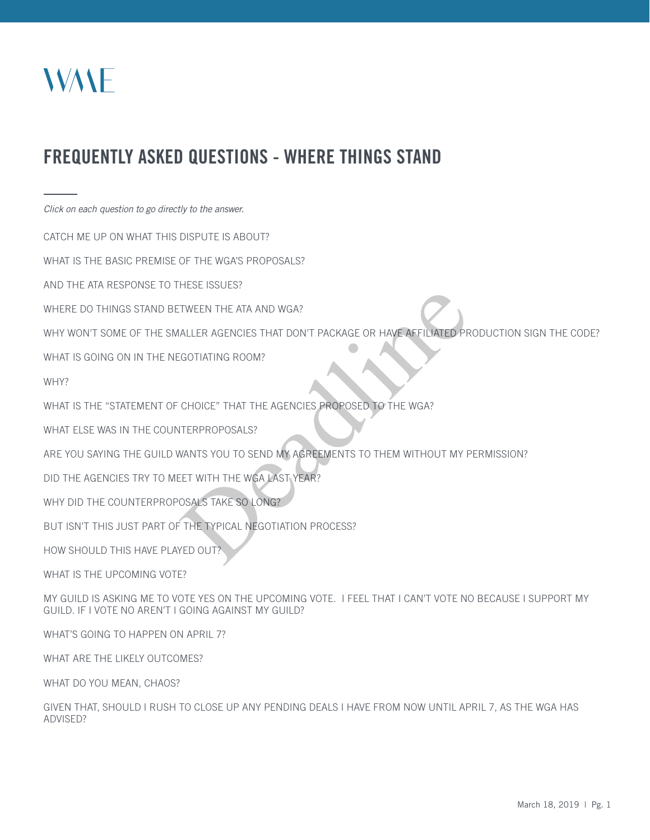

# FREQUENTLY ASKED QUESTIONS - WHERE THINGS STAND

*Click on each question to go directly to the answer.*

CATCH ME UP ON WHAT THIS DISPUTE IS ABOUT?

WHAT IS THE BASIC PREMISE OF THE WGA'S PROPOSALS?

AND THE ATA RESPONSE TO THESE ISSUES?

WHERE DO THINGS STAND BETWEEN THE ATA AND WGA?

WHY WON'T SOME OF THE SMALLER AGENCIES THAT DON'T PACKAGE OR HAVE AFFILIATED PRODUCTION SIGN THE CODE? TWEEN THE ATA AND WGA?<br>ALLER AGENCIES THAT DON'T PACKAGE OR HAVE AFFILIATED PR<br>GOTIATING ROOM?<br>CHOICE" THAT THE AGENCIES PROPOSED TO THE WGA?<br>ITERPROPOSALS?<br>WANTS YOU TO SEND MY AGREEMENTS TO THEM WITHOUT MY P<br>CET WITH THE

WHAT IS GOING ON IN THE NEGOTIATING ROOM?

WHY?

WHAT IS THE "STATEMENT OF CHOICE" THAT THE AGENCIES PROPOSED TO THE WGA?

WHAT ELSE WAS IN THE COUNTERPROPOSALS?

ARE YOU SAYING THE GUILD WANTS YOU TO SEND MY AGREEMENTS TO THEM WITHOUT MY PERMISSION?

DID THE AGENCIES TRY TO MEET WITH THE WGA LAST YEAR?

WHY DID THE COUNTERPROPOSALS TAKE SO LONG?

BUT ISN'T THIS JUST PART OF THE TYPICAL NEGOTIATION PROCESS?

HOW SHOULD THIS HAVE PLAYED OUT?

WHAT IS THE UPCOMING VOTE?

MY GUILD IS ASKING ME TO VOTE YES ON THE UPCOMING VOTE. I FEEL THAT I CAN'T VOTE NO BECAUSE I SUPPORT MY GUILD. IF I VOTE NO AREN'T I GOING AGAINST MY GUILD?

WHAT'S GOING TO HAPPEN ON APRIL 7?

WHAT ARE THE LIKELY OUTCOMES?

WHAT DO YOU MEAN, CHAOS?

GIVEN THAT, SHOULD I RUSH TO CLOSE UP ANY PENDING DEALS I HAVE FROM NOW UNTIL APRIL 7, AS THE WGA HAS ADVISED?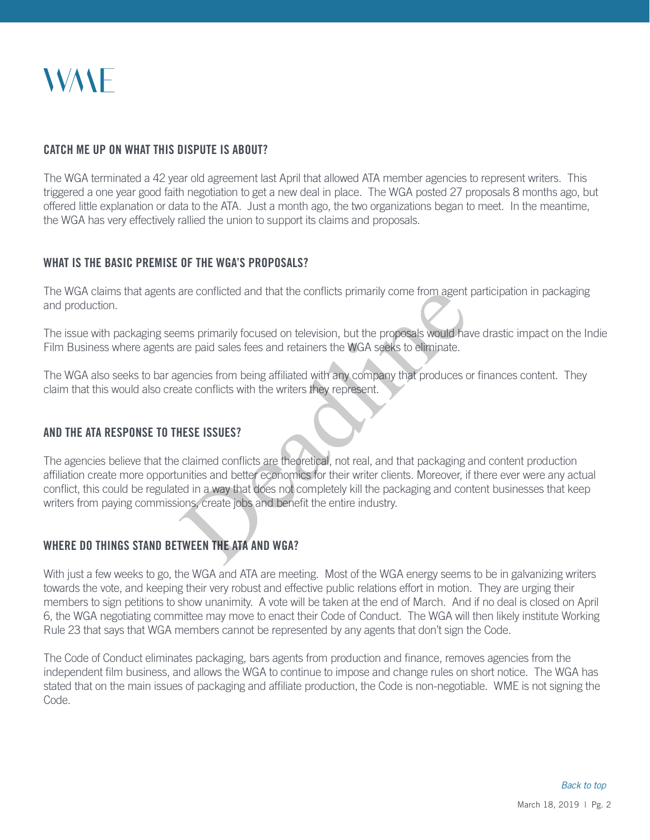# *NVANE*

#### CATCH ME UP ON WHAT THIS DISPUTE IS ABOUT?

The WGA terminated a 42 year old agreement last April that allowed ATA member agencies to represent writers. This triggered a one year good faith negotiation to get a new deal in place. The WGA posted 27 proposals 8 months ago, but offered little explanation or data to the ATA. Just a month ago, the two organizations began to meet. In the meantime, the WGA has very effectively rallied the union to support its claims and proposals.

#### WHAT IS THE BASIC PREMISE OF THE WGA'S PROPOSALS?

The WGA claims that agents are conflicted and that the conflicts primarily come from agent participation in packaging and production.

The issue with packaging seems primarily focused on television, but the proposals would have drastic impact on the Indie Film Business where agents are paid sales fees and retainers the WGA seeks to eliminate.

The WGA also seeks to bar agencies from being affiliated with any company that produces or finances content. They claim that this would also create conflicts with the writers they represent.

# AND THE ATA RESPONSE TO THESE ISSUES?

The agencies believe that the claimed conflicts are theoretical, not real, and that packaging and content production affiliation create more opportunities and better economics for their writer clients. Moreover, if there ever were any actual conflict, this could be regulated in a way that does not completely kill the packaging and content businesses that keep writers from paying commissions, create jobs and benefit the entire industry. are conflicted and that the conflicts primarily come from agent<br>terms primarily focused on television, but the proposals would have<br>pancies from being affiliated with any company that produces of<br>ate conflicts with the wri

# WHERE DO THINGS STAND BETWEEN THE ATA AND WGA?

With just a few weeks to go, the WGA and ATA are meeting. Most of the WGA energy seems to be in galvanizing writers towards the vote, and keeping their very robust and effective public relations effort in motion. They are urging their members to sign petitions to show unanimity. A vote will be taken at the end of March. And if no deal is closed on April 6, the WGA negotiating committee may move to enact their Code of Conduct. The WGA will then likely institute Working Rule 23 that says that WGA members cannot be represented by any agents that don't sign the Code.

The Code of Conduct eliminates packaging, bars agents from production and finance, removes agencies from the independent film business, and allows the WGA to continue to impose and change rules on short notice. The WGA has stated that on the main issues of packaging and affiliate production, the Code is non-negotiable. WME is not signing the Code.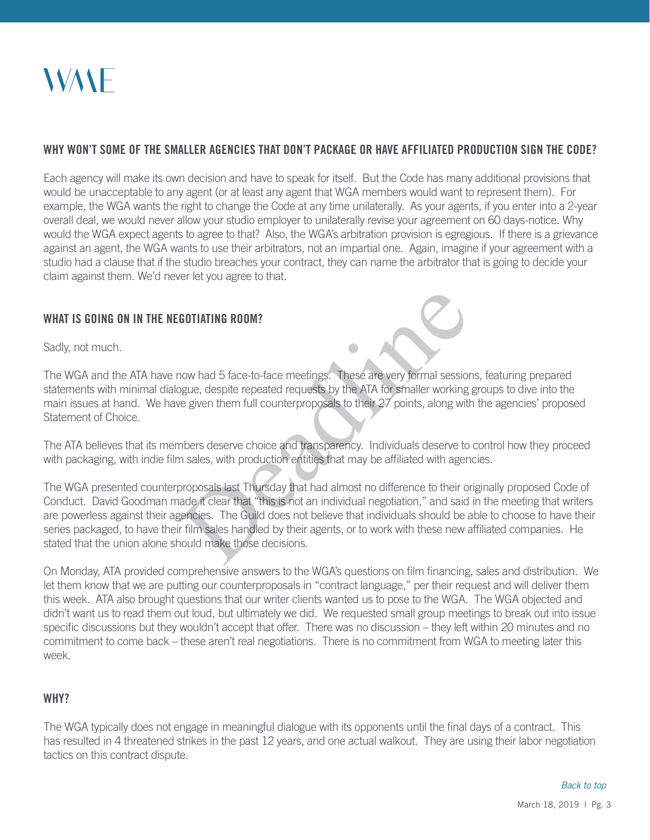# WHY WON'T SOME OF THE SMALLER AGENCIES THAT DON'T PACKAGE OR HAVE AFFILIATED PRODUCTION SIGN THE CODE?

Each agency will make its own decision and have to speak for itself. But the Code has many additional provisions that would be unacceptable to any agent (or at least any agent that WGA members would want to represent them). For example, the WGA wants the right to change the Code at any time unilaterally. As your agents, if you enter into a 2-year overall deal, we would never allow your studio employer to unilaterally revise your agreement on 60 days-notice. Why would the WGA expect agents to agree to that? Also, the WGA's arbitration provision is egregious. If there is a grievance against an agent, the WGA wants to use their arbitrators, not an impartial one. Again, imagine if your agreement with a studio had a clause that if the studio breaches your contract, they can name the arbitrator that is going to decide your claim against them. We'd never let you agree to that.

# WHAT IS GOING ON IN THE NEGOTIATING ROOM?

Sadly, not much.

The WGA and the ATA have now had 5 face-to-face meetings. These are very formal sessions, featuring prepared statements with minimal dialogue, despite repeated requests by the ATA for smaller working groups to dive into the main issues at hand. We have given them full counterproposals to their 27 points, along with the agencies' proposed Statement of Choice.

The ATA believes that its members deserve choice and transparency. Individuals deserve to control how they proceed with packaging, with indie film sales, with production entities that may be affiliated with agencies.

The WGA presented counterproposals last Thursday that had almost no difference to their originally proposed Code of Conduct. David Goodman made it clear that "this is not an individual negotiation," and said in the meeting that writers are powerless against their agencies. The Guild does not believe that individuals should be able to choose to have their series packaged, to have their film sales handled by their agents, or to work with these new affiliated companies. He stated that the union alone should make those decisions. **GOTIATING ROOM?**<br>
Now had 5 face-to-face meetings. These are very formal session<br>
gue, despite repeated requests by the ATA for smaller working<br>
very given them full counterproposals to their 27 points, along with<br>
nbers

On Monday, ATA provided comprehensive answers to the WGA's questions on film financing, sales and distribution. We let them know that we are putting our counterproposals in "contract language," per their request and will deliver them this week. ATA also brought questions that our writer clients wanted us to pose to the WGA. The WGA objected and didn't want us to read them out loud, but ultimately we did. We requested small group meetings to break out into issue specific discussions but they wouldn't accept that offer. There was no discussion – they left within 20 minutes and no commitment to come back – these aren't real negotiations. There is no commitment from WGA to meeting later this week.

#### WHY?

The WGA typically does not engage in meaningful dialogue with its opponents until the final days of a contract. This has resulted in 4 threatened strikes in the past 12 years, and one actual walkout. They are using their labor negotiation tactics on this contract dispute.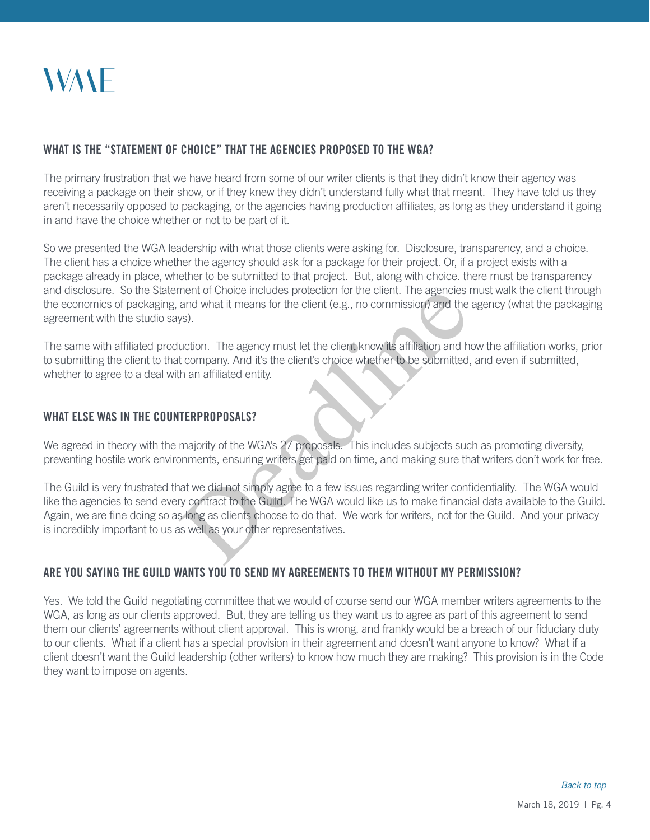

### WHAT IS THE "STATEMENT OF CHOICE" THAT THE AGENCIES PROPOSED TO THE WGA?

The primary frustration that we have heard from some of our writer clients is that they didn't know their agency was receiving a package on their show, or if they knew they didn't understand fully what that meant. They have told us they aren't necessarily opposed to packaging, or the agencies having production affiliates, as long as they understand it going in and have the choice whether or not to be part of it.

So we presented the WGA leadership with what those clients were asking for. Disclosure, transparency, and a choice. The client has a choice whether the agency should ask for a package for their project. Or, if a project exists with a package already in place, whether to be submitted to that project. But, along with choice. there must be transparency and disclosure. So the Statement of Choice includes protection for the client. The agencies must walk the client through the economics of packaging, and what it means for the client (e.g., no commission) and the agency (what the packaging agreement with the studio says).

The same with affiliated production. The agency must let the client know its affiliation and how the affiliation works, prior to submitting the client to that company. And it's the client's choice whether to be submitted, and even if submitted, whether to agree to a deal with an affiliated entity.

#### WHAT ELSE WAS IN THE COUNTERPROPOSALS?

We agreed in theory with the majority of the WGA's 27 proposals. This includes subjects such as promoting diversity, preventing hostile work environments, ensuring writers get paid on time, and making sure that writers don't work for free.

The Guild is very frustrated that we did not simply agree to a few issues regarding writer confidentiality. The WGA would like the agencies to send every contract to the Guild. The WGA would like us to make financial data available to the Guild. Again, we are fine doing so as long as clients choose to do that. We work for writers, not for the Guild. And your privacy is incredibly important to us as well as your other representatives. ment of Choice includes protection for the client. The agencies and what it means for the client (e.g., no commission) and the sys).<br>
uction. The agency must let the client know its affiliation and h<br>
t company. And it's t

# ARE YOU SAYING THE GUILD WANTS YOU TO SEND MY AGREEMENTS TO THEM WITHOUT MY PERMISSION?

Yes. We told the Guild negotiating committee that we would of course send our WGA member writers agreements to the WGA, as long as our clients approved. But, they are telling us they want us to agree as part of this agreement to send them our clients' agreements without client approval. This is wrong, and frankly would be a breach of our fiduciary duty to our clients. What if a client has a special provision in their agreement and doesn't want anyone to know? What if a client doesn't want the Guild leadership (other writers) to know how much they are making? This provision is in the Code they want to impose on agents.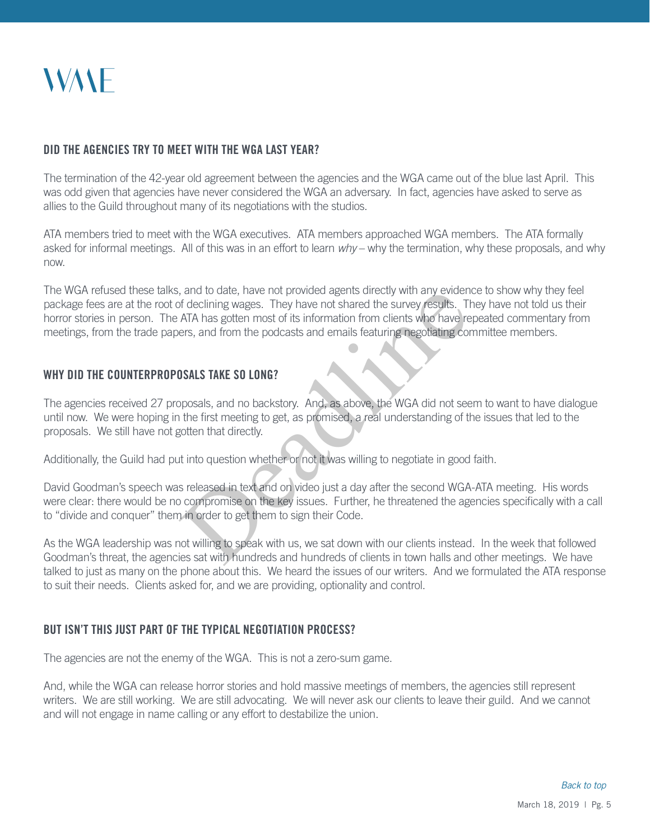

#### DID THE AGENCIES TRY TO MEET WITH THE WGA LAST YEAR?

The termination of the 42-year old agreement between the agencies and the WGA came out of the blue last April. This was odd given that agencies have never considered the WGA an adversary. In fact, agencies have asked to serve as allies to the Guild throughout many of its negotiations with the studios.

ATA members tried to meet with the WGA executives. ATA members approached WGA members. The ATA formally asked for informal meetings. All of this was in an effort to learn *why* – why the termination, why these proposals, and why now.

The WGA refused these talks, and to date, have not provided agents directly with any evidence to show why they feel package fees are at the root of declining wages. They have not shared the survey results. They have not told us their horror stories in person. The ATA has gotten most of its information from clients who have repeated commentary from meetings, from the trade papers, and from the podcasts and emails featuring negotiating committee members. at and to date, nave not provided agents directly with any evident<br>of declining wages. They have not shared the survey results. The ATA has gotten most of its information from clients who have re<br>ers, and from the podcasts

#### WHY DID THE COUNTERPROPOSALS TAKE SO LONG?

The agencies received 27 proposals, and no backstory. And, as above, the WGA did not seem to want to have dialogue until now. We were hoping in the first meeting to get, as promised, a real understanding of the issues that led to the proposals. We still have not gotten that directly.

Additionally, the Guild had put into question whether or not it was willing to negotiate in good faith.

David Goodman's speech was released in text and on video just a day after the second WGA-ATA meeting. His words were clear: there would be no compromise on the key issues. Further, he threatened the agencies specifically with a call to "divide and conquer" them in order to get them to sign their Code.

As the WGA leadership was not willing to speak with us, we sat down with our clients instead. In the week that followed Goodman's threat, the agencies sat with hundreds and hundreds of clients in town halls and other meetings. We have talked to just as many on the phone about this. We heard the issues of our writers. And we formulated the ATA response to suit their needs. Clients asked for, and we are providing, optionality and control.

#### BUT ISN'T THIS JUST PART OF THE TYPICAL NEGOTIATION PROCESS?

The agencies are not the enemy of the WGA. This is not a zero-sum game.

And, while the WGA can release horror stories and hold massive meetings of members, the agencies still represent writers. We are still working. We are still advocating. We will never ask our clients to leave their guild. And we cannot and will not engage in name calling or any effort to destabilize the union.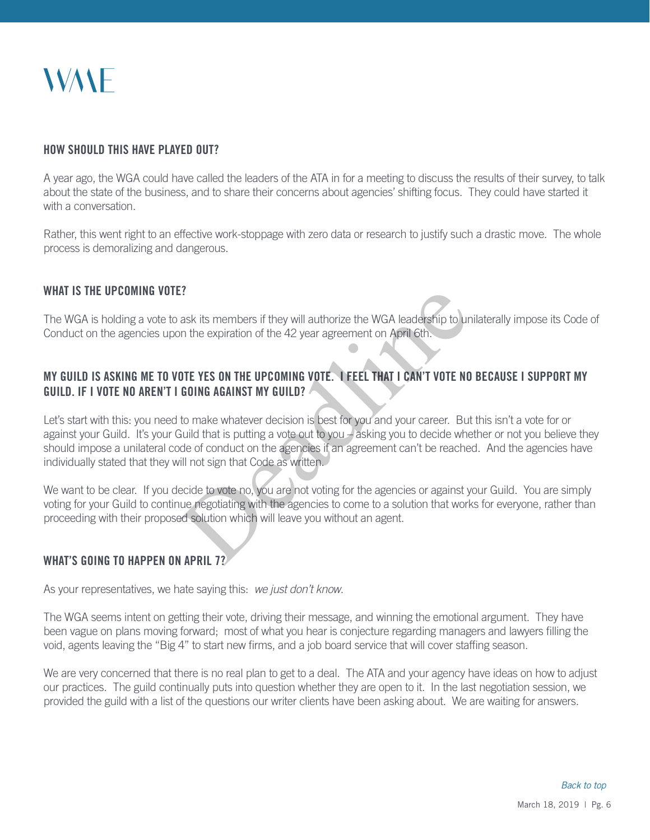# **WANE**

#### HOW SHOULD THIS HAVE PLAYED OUT?

A year ago, the WGA could have called the leaders of the ATA in for a meeting to discuss the results of their survey, to talk about the state of the business, and to share their concerns about agencies' shifting focus. They could have started it with a conversation

Rather, this went right to an effective work-stoppage with zero data or research to justify such a drastic move. The whole process is demoralizing and dangerous.

### WHAT IS THE UPCOMING VOTE?

The WGA is holding a vote to ask its members if they will authorize the WGA leadership to unilaterally impose its Code of Conduct on the agencies upon the expiration of the 42 year agreement on April 6th.

# MY GUILD IS ASKING ME TO VOTE YES ON THE UPCOMING VOTE. I FEEL THAT I CAN'T VOTE NO BECAUSE I SUPPORT MY GUILD. IF I VOTE NO AREN'T I GOING AGAINST MY GUILD?

Let's start with this: you need to make whatever decision is best for you and your career. But this isn't a vote for or against your Guild. It's your Guild that is putting a vote out to you – asking you to decide whether or not you believe they should impose a unilateral code of conduct on the agencies if an agreement can't be reached. And the agencies have individually stated that they will not sign that Code as written. <sup>1</sup> ask its members if they will authorize the WGA leadership to un<br>
the expiration of the 42 year agreement on April 6th.<br> **DIE YES ON THE UPCOMING VOTE. I FEEL THAT I CAN'T VOTE NO<br>
GOING AGAINST MY GUILD?<br>
to make whate** 

We want to be clear. If you decide to vote no, you are not voting for the agencies or against your Guild. You are simply voting for your Guild to continue negotiating with the agencies to come to a solution that works for everyone, rather than proceeding with their proposed solution which will leave you without an agent.

#### WHAT'S GOING TO HAPPEN ON APRIL 7?

As your representatives, we hate saying this: *we just don't know*.

The WGA seems intent on getting their vote, driving their message, and winning the emotional argument. They have been vague on plans moving forward; most of what you hear is conjecture regarding managers and lawyers filling the void, agents leaving the "Big 4" to start new firms, and a job board service that will cover staffing season.

We are very concerned that there is no real plan to get to a deal. The ATA and your agency have ideas on how to adjust our practices. The guild continually puts into question whether they are open to it. In the last negotiation session, we provided the guild with a list of the questions our writer clients have been asking about. We are waiting for answers.